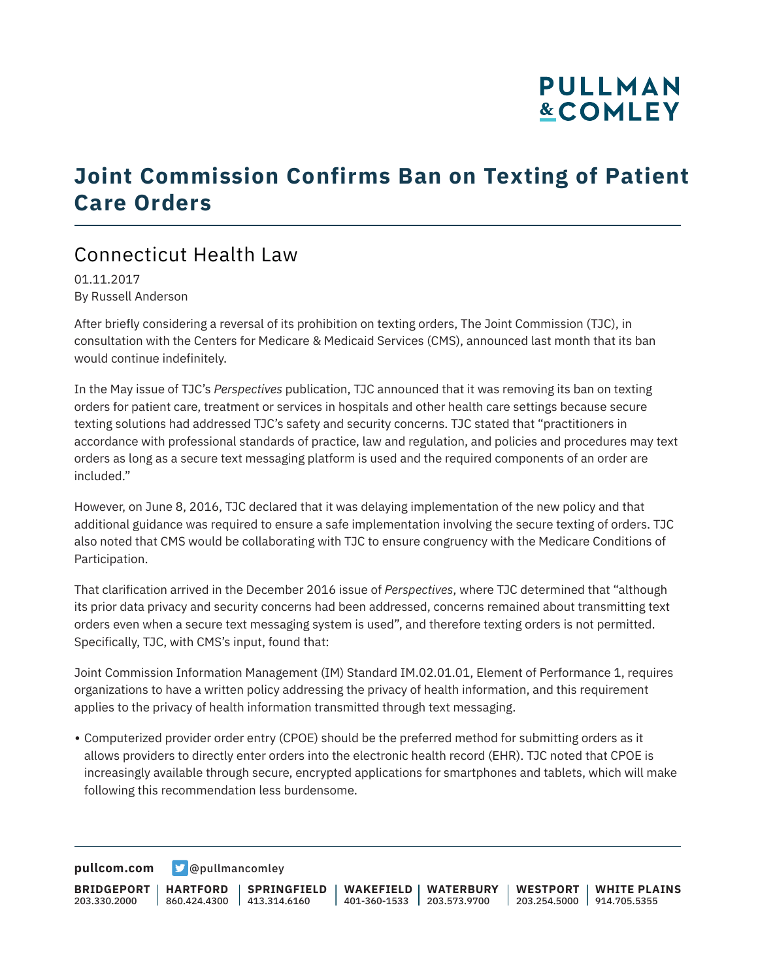# **PULLMAN &COMLEY**

### **Joint Commission Confirms Ban on Texting of Patient Care Orders**

### Connecticut Health Law

01.11.2017 By Russell Anderson

After briefly considering a reversal of its prohibition on texting orders, The Joint Commission (TJC), in consultation with the Centers for Medicare & Medicaid Services (CMS), announced last month that its ban would continue indefinitely.

In the May issue of TJC's *Perspectives* publication, TJC announced that it was removing its ban on texting orders for patient care, treatment or services in hospitals and other health care settings because secure texting solutions had addressed TJC's safety and security concerns. TJC stated that "practitioners in accordance with professional standards of practice, law and regulation, and policies and procedures may text orders as long as a secure text messaging platform is used and the required components of an order are included."

However, on June 8, 2016, TJC declared that it was delaying implementation of the new policy and that additional guidance was required to ensure a safe implementation involving the secure texting of orders. TJC also noted that CMS would be collaborating with TJC to ensure congruency with the Medicare Conditions of Participation.

That clarification arrived in the December 2016 issue of *Perspectives*, where TJC determined that "although its prior data privacy and security concerns had been addressed, concerns remained about transmitting text orders even when a secure text messaging system is used", and therefore texting orders is not permitted. Specifically, TJC, with CMS's input, found that:

Joint Commission Information Management (IM) Standard IM.02.01.01, Element of Performance 1, requires organizations to have a written policy addressing the privacy of health information, and this requirement applies to the privacy of health information transmitted through text messaging.

• Computerized provider order entry (CPOE) should be the preferred method for submitting orders as it allows providers to directly enter orders into the electronic health record (EHR). TJC noted that CPOE is increasingly available through secure, encrypted applications for smartphones and tablets, which will make following this recommendation less burdensome.

**[pullcom.com](https://www.pullcom.com) g** [@pullmancomley](https://twitter.com/PullmanComley)

**BRIDGEPORT** 203.330.2000 **HARTFORD** 860.424.4300 413.314.6160 **SPRINGFIELD WAKEFIELD WATERBURY** 401-360-1533 203.573.9700 **WESTPORT WHITE PLAINS** 203.254.5000 914.705.5355